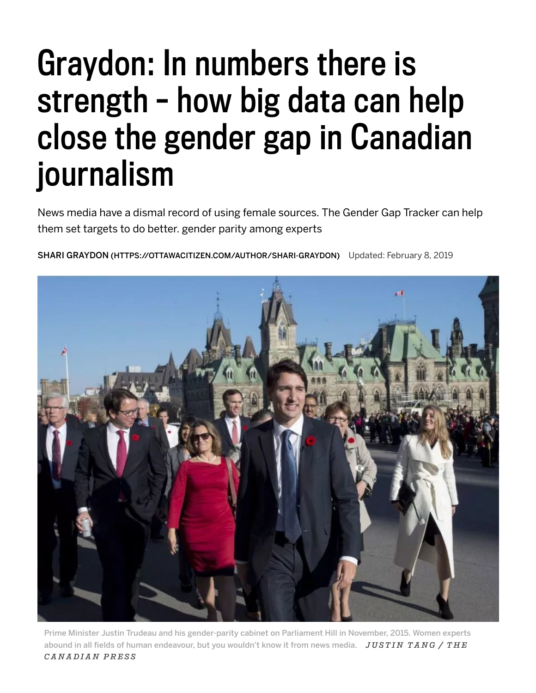## Graydon: In numbers there is strength – how big data can help close the gender gap in Canadian journalism

News media have a dismal record of using female sources. The Gender Gap Tracker can help them set targets to do better. gender parity among experts

SHARI GRAYDON [\(HTTPS://OTTAWACITIZEN.COM/AUTHOR/SHARI-GRAYDON\)](https://ottawacitizen.com/author/shari-graydon) Updated: February 8, 2019



Prime Minister Justin Trudeau and his gender-parity cabinet on Parliament Hill in November, 2015. Women experts abound in all fields of human endeavour, but you wouldn't know it from news media. *J U STI N T A N G / T H E C A N A D I A N P R E S S*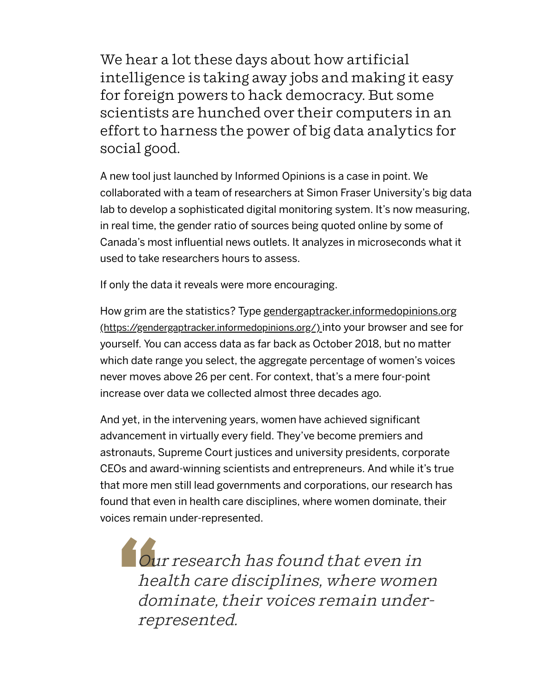We hear a lot these days about how artificial intelligence is taking away jobs and making it easy for foreign powers to hack democracy. But some scientists are hunched over their computers in an effort to harness the power of big data analytics for social good.

A new tool just launched by Informed Opinions is a case in point. We collaborated with a team of researchers at Simon Fraser University's big data lab to develop a sophisticated digital monitoring system. It's now measuring, in real time, the gender ratio of sources being quoted online by some of Canada's most influential news outlets. It analyzes in microseconds what it used to take researchers hours to assess.

If only the data it reveals were more encouraging.

How grim are the statistics? Type gendergaptracker.informedopinions.org [\(https://gendergaptracker.informedopinions.org/\)](https://gendergaptracker.informedopinions.org/) into your browser and see for yourself. You can access data as far back as October 2018, but no matter which date range you select, the aggregate percentage of women's voices never moves above 26 per cent. For context, that's a mere four-point increase over data we collected almost three decades ago.

And yet, in the intervening years, women have achieved significant advancement in virtually every field. They've become premiers and astronauts, Supreme Court justices and university presidents, corporate CEOs and award-winning scientists and entrepreneurs. And while it's true that more men still lead governments and corporations, our research has found that even in health care disciplines, where women dominate, their voices remain under-represented.

" Our<br>
heal<br>
dom<br>
repr Our research has found that even in health care disciplines, where women dominate, their voices remain underrepresented.